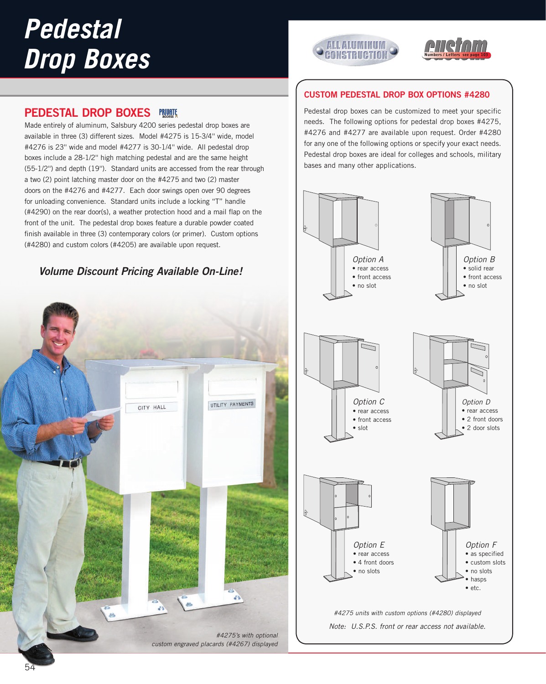# *Pedestal Drop Boxes*





## **PEDESTAL DROP BOXES**

Made entirely of aluminum, Salsbury 4200 series pedestal drop boxes are available in three (3) different sizes. Model #4275 is 15-3/4'' wide, model #4276 is 23'' wide and model #4277 is 30-1/4'' wide. All pedestal drop boxes include a 28-1/2'' high matching pedestal and are the same height (55-1/2'') and depth (19''). Standard units are accessed from the rear through a two (2) point latching master door on the #4275 and two (2) master doors on the #4276 and #4277. Each door swings open over 90 degrees for unloading convenience. Standard units include a locking "T" handle (#4290) on the rear door(s), a weather protection hood and a mail flap on the front of the unit. The pedestal drop boxes feature a durable powder coated finish available in three (3) contemporary colors (or primer). Custom options (#4280) and custom colors (#4205) are available upon request.

# **Volume Discount Pricing Available On-Line!**



## **CUSTOM PEDESTAL DROP BOX OPTIONS #4280**

Pedestal drop boxes can be customized to meet your specific needs. The following options for pedestal drop boxes #4275, #4276 and #4277 are available upon request. Order #4280 for any one of the following options or specify your exact needs. Pedestal drop boxes are ideal for colleges and schools, military bases and many other applications.